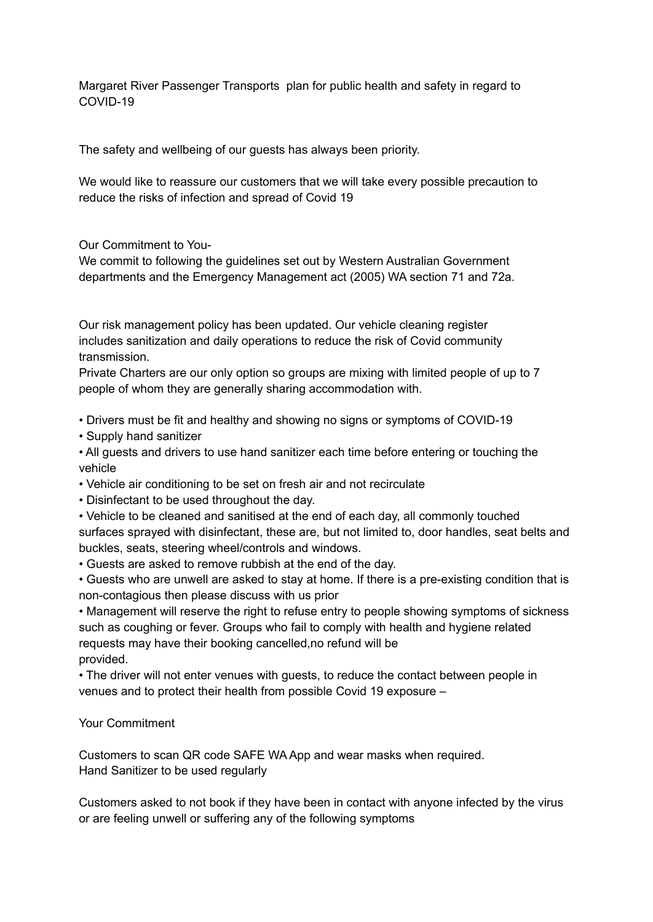Margaret River Passenger Transports plan for public health and safety in regard to COVID-19

The safety and wellbeing of our guests has always been priority.

We would like to reassure our customers that we will take every possible precaution to reduce the risks of infection and spread of Covid 19

Our Commitment to You-

We commit to following the guidelines set out by Western Australian Government departments and the Emergency Management act (2005) WA section 71 and 72a.

Our risk management policy has been updated. Our vehicle cleaning register includes sanitization and daily operations to reduce the risk of Covid community transmission.

Private Charters are our only option so groups are mixing with limited people of up to 7 people of whom they are generally sharing accommodation with.

• Drivers must be fit and healthy and showing no signs or symptoms of COVID-19

• Supply hand sanitizer

• All guests and drivers to use hand sanitizer each time before entering or touching the vehicle

- Vehicle air conditioning to be set on fresh air and not recirculate
- Disinfectant to be used throughout the day.
- Vehicle to be cleaned and sanitised at the end of each day, all commonly touched surfaces sprayed with disinfectant, these are, but not limited to, door handles, seat belts and buckles, seats, steering wheel/controls and windows.

• Guests are asked to remove rubbish at the end of the day.

• Guests who are unwell are asked to stay at home. If there is a pre-existing condition that is non-contagious then please discuss with us prior

• Management will reserve the right to refuse entry to people showing symptoms of sickness such as coughing or fever. Groups who fail to comply with health and hygiene related requests may have their booking cancelled,no refund will be provided.

• The driver will not enter venues with guests, to reduce the contact between people in venues and to protect their health from possible Covid 19 exposure –

Your Commitment

Customers to scan QR code SAFE WA App and wear masks when required. Hand Sanitizer to be used regularly

Customers asked to not book if they have been in contact with anyone infected by the virus or are feeling unwell or suffering any of the following symptoms